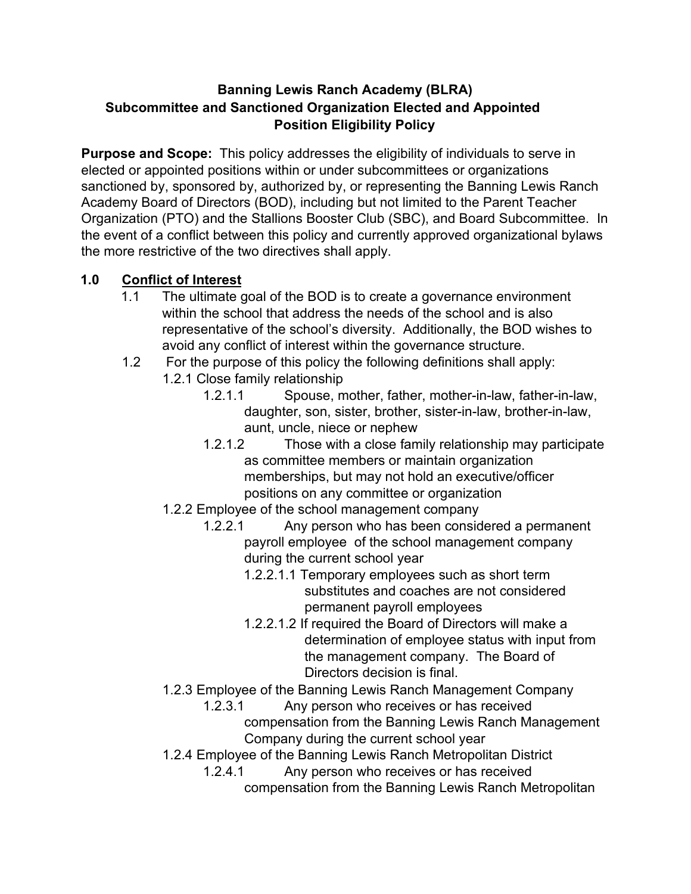#### **Banning Lewis Ranch Academy (BLRA) Subcommittee and Sanctioned Organization Elected and Appointed Position Eligibility Policy**

**Purpose and Scope:** This policy addresses the eligibility of individuals to serve in elected or appointed positions within or under subcommittees or organizations sanctioned by, sponsored by, authorized by, or representing the Banning Lewis Ranch Academy Board of Directors (BOD), including but not limited to the Parent Teacher Organization (PTO) and the Stallions Booster Club (SBC), and Board Subcommittee. In the event of a conflict between this policy and currently approved organizational bylaws the more restrictive of the two directives shall apply.

#### **1.0 Conflict of Interest**

- 1.1 The ultimate goal of the BOD is to create a governance environment within the school that address the needs of the school and is also representative of the school's diversity. Additionally, the BOD wishes to avoid any conflict of interest within the governance structure.
- 1.2 For the purpose of this policy the following definitions shall apply:
	- 1.2.1 Close family relationship
		- 1.2.1.1 Spouse, mother, father, mother-in-law, father-in-law, daughter, son, sister, brother, sister-in-law, brother-in-law, aunt, uncle, niece or nephew
		- 1.2.1.2 Those with a close family relationship may participate as committee members or maintain organization memberships, but may not hold an executive/officer positions on any committee or organization
	- 1.2.2 Employee of the school management company
		- 1.2.2.1 Any person who has been considered a permanent payroll employee of the school management company during the current school year
			- 1.2.2.1.1 Temporary employees such as short term substitutes and coaches are not considered permanent payroll employees
			- 1.2.2.1.2 If required the Board of Directors will make a determination of employee status with input from the management company. The Board of Directors decision is final.
	- 1.2.3 Employee of the Banning Lewis Ranch Management Company
		- 1.2.3.1 Any person who receives or has received compensation from the Banning Lewis Ranch Management Company during the current school year
	- 1.2.4 Employee of the Banning Lewis Ranch Metropolitan District
		- 1.2.4.1 Any person who receives or has received compensation from the Banning Lewis Ranch Metropolitan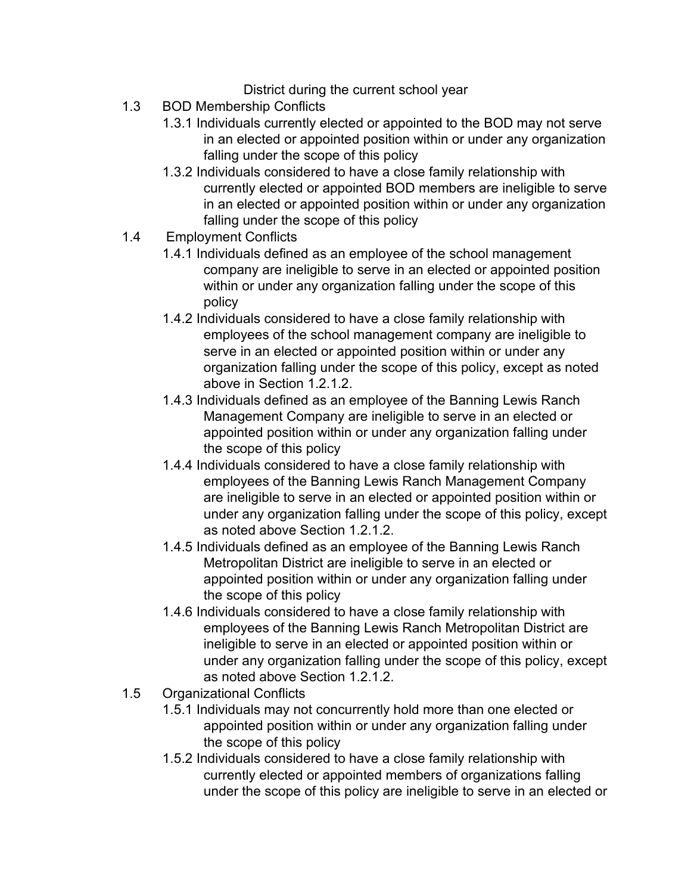District during the current school year

- 1.3 BOD Membership Conflicts
	- 1.3.1 Individuals currently elected or appointed to the BOD may not serve in an elected or appointed position within or under any organization falling under the scope of this policy
	- 1.3.2 Individuals considered to have a close family relationship with currently elected or appointed BOD members are ineligible to serve in an elected or appointed position within or under any organization falling under the scope of this policy
- 1.4 Employment Conflicts
	- 1.4.1 Individuals defined as an employee of the school management company are ineligible to serve in an elected or appointed position within or under any organization falling under the scope of this policy
	- 1.4.2 Individuals considered to have a close family relationship with employees of the school management company are ineligible to serve in an elected or appointed position within or under any organization falling under the scope of this policy, except as noted above in Section 1.2.1.2.
	- 1.4.3 Individuals defined as an employee of the Banning Lewis Ranch Management Company are ineligible to serve in an elected or appointed position within or under any organization falling under the scope of this policy
	- 1.4.4 Individuals considered to have a close family relationship with employees of the Banning Lewis Ranch Management Company are ineligible to serve in an elected or appointed position within or under any organization falling under the scope of this policy, except as noted above Section 1.2.1.2.
	- 1.4.5 Individuals defined as an employee of the Banning Lewis Ranch Metropolitan District are ineligible to serve in an elected or appointed position within or under any organization falling under the scope of this policy
	- 1.4.6 Individuals considered to have a close family relationship with employees of the Banning Lewis Ranch Metropolitan District are ineligible to serve in an elected or appointed position within or under any organization falling under the scope of this policy, except as noted above Section 1.2.1.2.
- 1.5 Organizational Conflicts
	- 1.5.1 Individuals may not concurrently hold more than one elected or appointed position within or under any organization falling under the scope of this policy
	- 1.5.2 Individuals considered to have a close family relationship with currently elected or appointed members of organizations falling under the scope of this policy are ineligible to serve in an elected or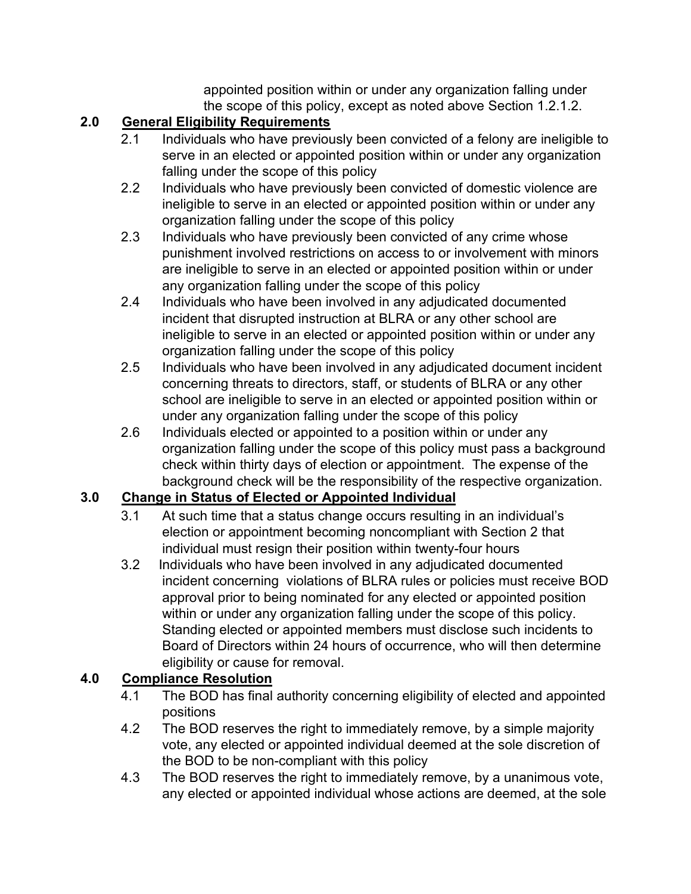appointed position within or under any organization falling under the scope of this policy, except as noted above Section 1.2.1.2.

## **2.0 General Eligibility Requirements**

- 2.1 Individuals who have previously been convicted of a felony are ineligible to serve in an elected or appointed position within or under any organization falling under the scope of this policy
- 2.2 Individuals who have previously been convicted of domestic violence are ineligible to serve in an elected or appointed position within or under any organization falling under the scope of this policy
- 2.3 Individuals who have previously been convicted of any crime whose punishment involved restrictions on access to or involvement with minors are ineligible to serve in an elected or appointed position within or under any organization falling under the scope of this policy
- 2.4 Individuals who have been involved in any adjudicated documented incident that disrupted instruction at BLRA or any other school are ineligible to serve in an elected or appointed position within or under any organization falling under the scope of this policy
- 2.5 Individuals who have been involved in any adjudicated document incident concerning threats to directors, staff, or students of BLRA or any other school are ineligible to serve in an elected or appointed position within or under any organization falling under the scope of this policy
- 2.6 Individuals elected or appointed to a position within or under any organization falling under the scope of this policy must pass a background check within thirty days of election or appointment. The expense of the background check will be the responsibility of the respective organization.

### **3.0 Change in Status of Elected or Appointed Individual**

- 3.1 At such time that a status change occurs resulting in an individual's election or appointment becoming noncompliant with Section 2 that individual must resign their position within twenty-four hours
- 3.2 Individuals who have been involved in any adjudicated documented incident concerning violations of BLRA rules or policies must receive BOD approval prior to being nominated for any elected or appointed position within or under any organization falling under the scope of this policy. Standing elected or appointed members must disclose such incidents to Board of Directors within 24 hours of occurrence, who will then determine eligibility or cause for removal.

# **4.0 Compliance Resolution**

- 4.1 The BOD has final authority concerning eligibility of elected and appointed positions
- 4.2 The BOD reserves the right to immediately remove, by a simple majority vote, any elected or appointed individual deemed at the sole discretion of the BOD to be non-compliant with this policy
- 4.3 The BOD reserves the right to immediately remove, by a unanimous vote, any elected or appointed individual whose actions are deemed, at the sole